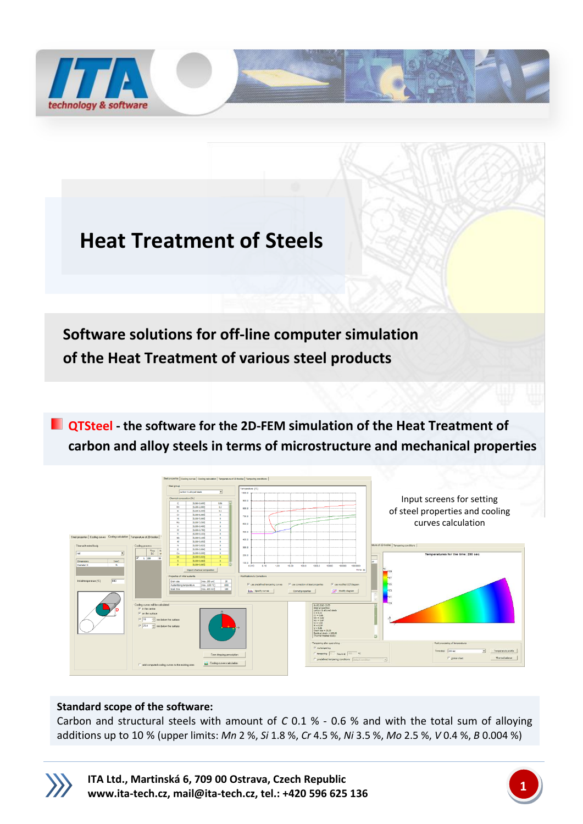

# **Heat Treatment of Steels**

 **Software solutions for off-line computer simulation of the Heat Treatment of various steel products**

**QTSteel - the software for the 2D-FEM simulation of the Heat Treatment of carbon and alloy steels in terms of microstructure and mechanical properties**



# **Standard scope of the software:**

Carbon and structural steels with amount of *C* 0.1 % - 0.6 % and with the total sum of alloying additions up to 10 % (upper limits: *Mn* 2 %, *Si* 1.8 %, *Cr* 4.5 %, *Ni* 3.5 %, *Mo* 2.5 %, *V* 0.4 %, *B* 0.004 %)



**ITA Ltd., Martinská 6, 709 00 Ostrava, Czech Republic [www.ita-tech.cz,](http://www.ita-tech.cz/) [mail@ita-tech.cz,](mailto:mail@ita-tech.cz) tel.: +420 <sup>596</sup> 625 136 1**

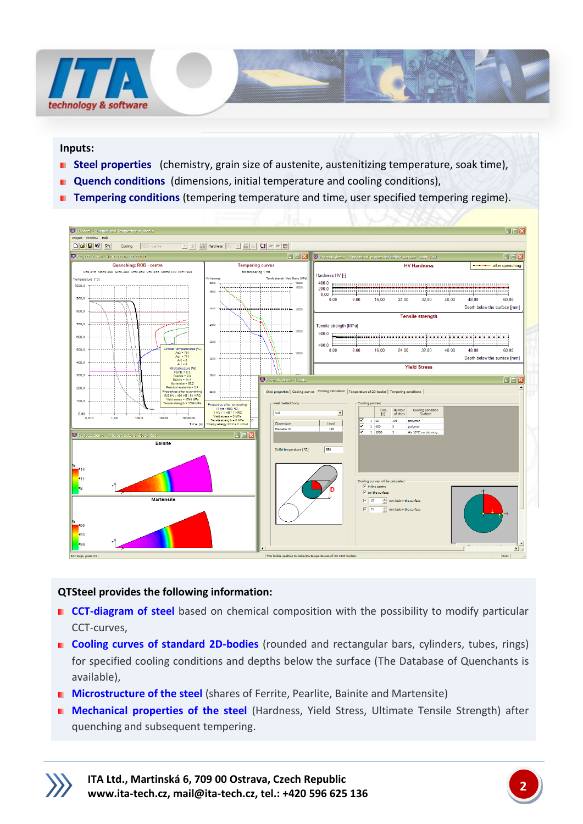

#### **Inputs:**

- **B** Steel properties (chemistry, grain size of austenite, austenitizing temperature, soak time),
- **Quench conditions** (dimensions, initial temperature and cooling conditions),
- **Tempering conditions** (tempering temperature and time, user specified tempering regime).



## **QTSteel provides the following information:**

- **CCT-diagram of steel** based on chemical composition with the possibility to modify particular CCT-curves,
- **Cooling curves of standard 2D-bodies** (rounded and rectangular bars, cylinders, tubes, rings) for specified cooling conditions and depths below the surface (The Database of Quenchants is available),
- **Microstructure of the steel** (shares of Ferrite, Pearlite, Bainite and Martensite)
- **Mechanical properties of the steel** (Hardness, Yield Stress, Ultimate Tensile Strength) after quenching and subsequent tempering.



**ITA Ltd., Martinská 6, 709 00 Ostrava, Czech Republic [www.ita-tech.cz,](http://www.ita-tech.cz/) [mail@ita-tech.cz,](mailto:mail@ita-tech.cz) tel.: +420 <sup>596</sup> 625 136 2**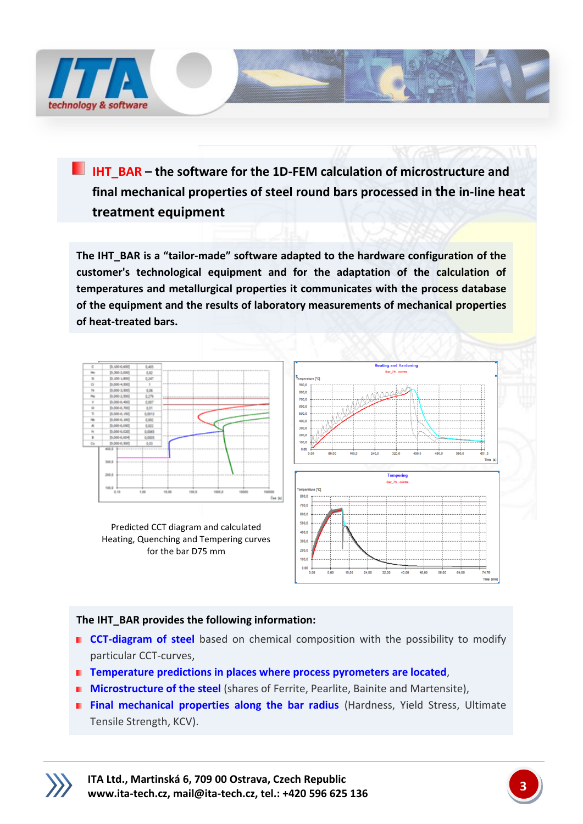

**IHT\_BAR –** the software for the 1D-FEM calculation of microstructure and **final mechanical properties of steel round bars processed in the in-line heat treatment equipment**

**The IHT\_BAR is a "tailor-made" software adapted to the hardware configuration of the customer's technological equipment and for the adaptation of the calculation of temperatures and metallurgical properties it communicates with the process database of the equipment and the results of laboratory measurements of mechanical properties of heat-treated bars.**



Predicted CCT diagram and calculated Heating, Quenching and Tempering curves for the bar D75 mm



## **The IHT\_BAR provides the following information:**

- **CCT-diagram of steel** based on chemical composition with the possibility to modify particular CCT-curves,
- **Temperature predictions in places where process pyrometers are located**,
- **Microstructure of the steel** (shares of Ferrite, Pearlite, Bainite and Martensite),
- **Final mechanical properties along the bar radius** (Hardness, Yield Stress, Ultimate Tensile Strength, KCV).